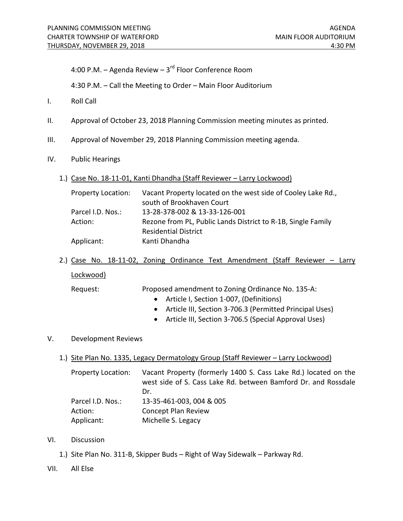4:00 P.M. – Agenda Review –  $3<sup>rd</sup>$  Floor Conference Room

4:30 P.M. – Call the Meeting to Order – Main Floor Auditorium

- I. Roll Call
- II. Approval of October 23, 2018 Planning Commission meeting minutes as printed.
- III. Approval of November 29, 2018 Planning Commission meeting agenda.
- IV. Public Hearings
	- 1.) Case No. 18-11-01, Kanti Dhandha (Staff Reviewer Larry Lockwood)

| Vacant Property located on the west side of Cooley Lake Rd., |
|--------------------------------------------------------------|
| south of Brookhaven Court                                    |
| 13-28-378-002 & 13-33-126-001                                |
| Rezone from PL, Public Lands District to R-1B, Single Family |
| <b>Residential District</b>                                  |
| Kanti Dhandha                                                |
|                                                              |

2.) Case No. 18-11-02, Zoning Ordinance Text Amendment (Staff Reviewer - Larry Lockwood)

Request: Proposed amendment to Zoning Ordinance No. 135-A:

- Article I, Section 1-007, (Definitions)
- Article III, Section 3-706.3 (Permitted Principal Uses)
- Article III, Section 3-706.5 (Special Approval Uses)

## V. Development Reviews

1.) Site Plan No. 1335, Legacy Dermatology Group (Staff Reviewer – Larry Lockwood)

Property Location: Vacant Property (formerly 1400 S. Cass Lake Rd.) located on the west side of S. Cass Lake Rd. between Bamford Dr. and Rossdale Dr. Parcel I.D. Nos.: 13-35-461-003, 004 & 005 Action: Concept Plan Review Applicant: Michelle S. Legacy

## VI. Discussion

- 1.) Site Plan No. 311-B, Skipper Buds Right of Way Sidewalk Parkway Rd.
- VII. All Else